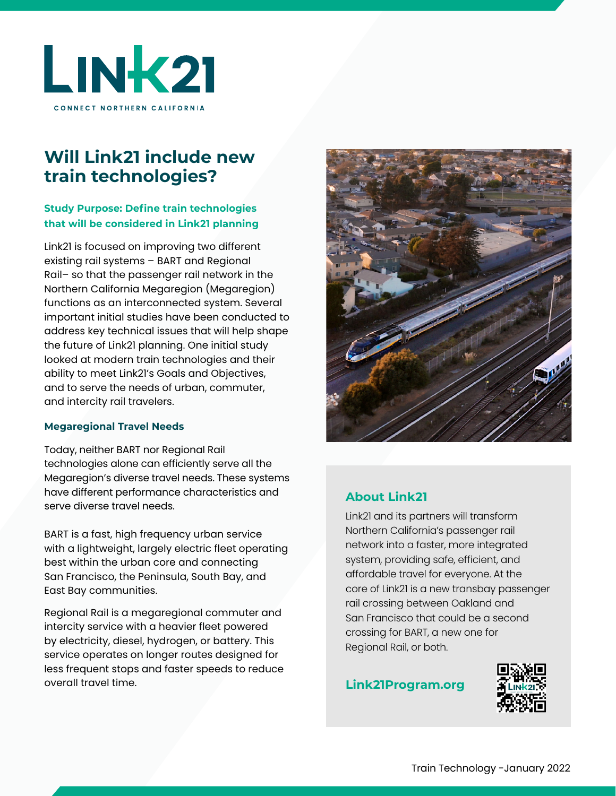

# **Will Link21 include new train technologies?**

## **Study Purpose: Define train technologies that will be considered in Link21 planning**

Link21 is focused on improving two different existing rail systems – BART and Regional Rail– so that the passenger rail network in the Northern California Megaregion (Megaregion) functions as an interconnected system. Several important initial studies have been conducted to address key technical issues that will help shape the future of Link21 planning. One initial study looked at modern train technologies and their ability to meet Link21's Goals and Objectives, and to serve the needs of urban, commuter, and intercity rail travelers.

### **Megaregional Travel Needs**

Today, neither BART nor Regional Rail technologies alone can efficiently serve all the Megaregion's diverse travel needs. These systems have different performance characteristics and serve diverse travel needs.

BART is a fast, high frequency urban service with a lightweight, largely electric fleet operating best within the urban core and connecting San Francisco, the Peninsula, South Bay, and East Bay communities.

Regional Rail is a megaregional commuter and intercity service with a heavier fleet powered by electricity, diesel, hydrogen, or battery. This service operates on longer routes designed for less frequent stops and faster speeds to reduce overall travel time. **[Link21Program.org](http://Link21Program.org)**



# **About Link21**

Link21 and its partners will transform Northern California's passenger rail network into a faster, more integrated system, providing safe, efficient, and affordable travel for everyone. At the core of Link21 is a new transbay passenger rail crossing between Oakland and San Francisco that could be a second crossing for BART, a new one for Regional Rail, or both.